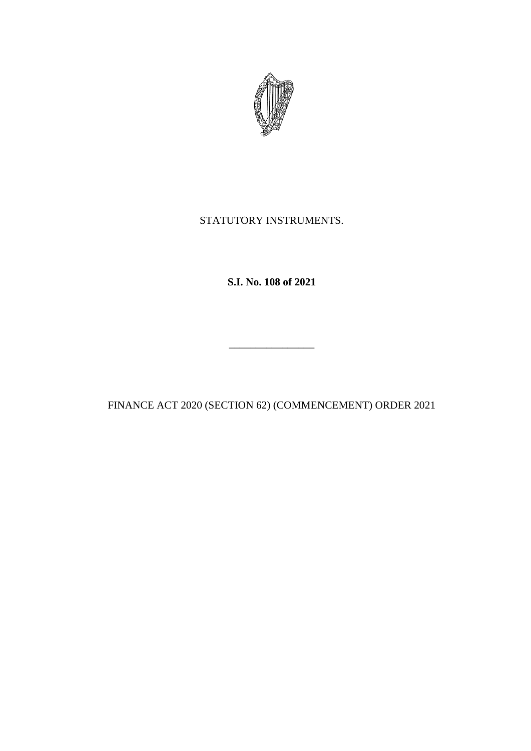

# STATUTORY INSTRUMENTS.

**S.I. No. 108 of 2021**

FINANCE ACT 2020 (SECTION 62) (COMMENCEMENT) ORDER 2021

\_\_\_\_\_\_\_\_\_\_\_\_\_\_\_\_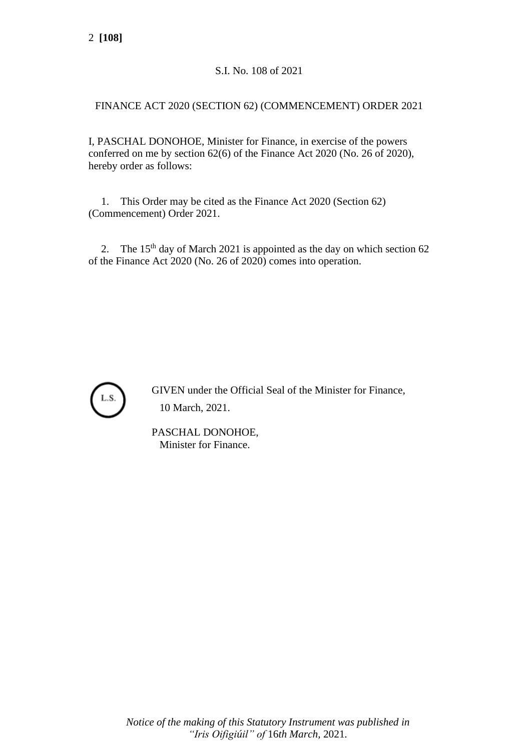# S.I. No. 108 of 2021

## FINANCE ACT 2020 (SECTION 62) (COMMENCEMENT) ORDER 2021

I, PASCHAL DONOHOE, Minister for Finance, in exercise of the powers conferred on me by section 62(6) of the Finance Act 2020 (No. 26 of 2020), hereby order as follows:

1. This Order may be cited as the Finance Act 2020 (Section 62) (Commencement) Order 2021.

2. The 15<sup>th</sup> day of March 2021 is appointed as the day on which section 62 of the Finance Act 2020 (No. 26 of 2020) comes into operation.



GIVEN under the Official Seal of the Minister for Finance, 10 March, 2021.

PASCHAL DONOHOE, Minister for Finance.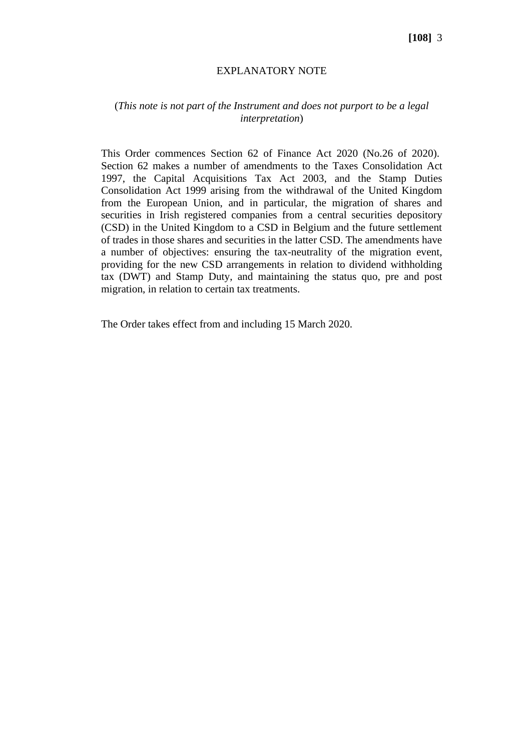#### **[108]** 3

#### EXPLANATORY NOTE

### (*This note is not part of the Instrument and does not purport to be a legal interpretation*)

This Order commences Section 62 of Finance Act 2020 (No.26 of 2020). Section 62 makes a number of amendments to the Taxes Consolidation Act 1997, the Capital Acquisitions Tax Act 2003, and the Stamp Duties Consolidation Act 1999 arising from the withdrawal of the United Kingdom from the European Union, and in particular, the migration of shares and securities in Irish registered companies from a central securities depository (CSD) in the United Kingdom to a CSD in Belgium and the future settlement of trades in those shares and securities in the latter CSD. The amendments have a number of objectives: ensuring the tax-neutrality of the migration event, providing for the new CSD arrangements in relation to dividend withholding tax (DWT) and Stamp Duty, and maintaining the status quo, pre and post migration, in relation to certain tax treatments.

The Order takes effect from and including 15 March 2020.